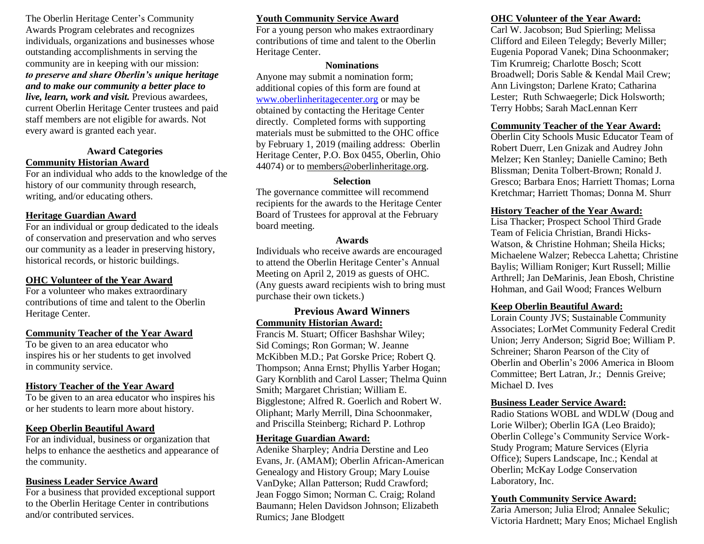The Oberlin Heritage Center's Community Awards Program celebrates and recognizes individuals, organizations and businesses whose outstanding accomplishments in serving the community are in keeping with our mission: *to preserve and share Oberlin's unique heritage and to make our community a better place to live, learn, work and visit.* Previous awardees, current Oberlin Heritage Center trustees and paid staff members are not eligible for awards. Not every award is granted each year.

### **Award Categories Community Historian Award**

For an individual who adds to the knowledge of the history of our community through research, writing, and/or educating others.

### **Heritage Guardian Award**

For an individual or group dedicated to the ideals of conservation and preservation and who serves our community as a leader in preserving history, historical records, or historic buildings.

### **OHC Volunteer of the Year Award**

For a volunteer who makes extraordinary contributions of time and talent to the Oberlin Heritage Center.

#### **Community Teacher of the Year Award**

To be given to an area educator who inspires his or her students to get involved in community service.

## **History Teacher of the Year Award**

To be given to an area educator who inspires his or her students to learn more about history.

## **Keep Oberlin Beautiful Award**

For an individual, business or organization that helps to enhance the aesthetics and appearance of the community.

### **Business Leader Service Award**

For a business that provided exceptional support to the Oberlin Heritage Center in contributions and/or contributed services.

# **Youth Community Service Award**

For a young person who makes extraordinary contributions of time and talent to the Oberlin Heritage Center.

#### **Nominations**

Anyone may submit a nomination form; additional copies of this form are found at [www.oberlinheritagecenter.org](http://www.oberlinheritagecenter.org/) or may be obtained by contacting the Heritage Center directly. Completed forms with supporting materials must be submitted to the OHC office by February 1, 2019 (mailing address: Oberlin Heritage Center, P.O. Box 0455, Oberlin, Ohio 44074) or to [members@oberlinheritage.org.](mailto:members@oberlinheritage.org)

### **Selection**

The governance committee will recommend recipients for the awards to the Heritage Center Board of Trustees for approval at the February board meeting.

#### **Awards**

Individuals who receive awards are encouraged to attend the Oberlin Heritage Center's Annual Meeting on April 2, 2019 as guests of OHC. (Any guests award recipients wish to bring must purchase their own tickets.)

## **Previous Award Winners Community Historian Award:**

Francis M. Stuart; Officer Bashshar Wiley; Sid Comings; Ron Gorman; W. Jeanne McKibben M.D.; Pat Gorske Price; Robert Q. Thompson; Anna Ernst; Phyllis Yarber Hogan; Gary Kornblith and Carol Lasser; Thelma Quinn Smith; Margaret Christian; William E. Bigglestone; Alfred R. Goerlich and Robert W. Oliphant; Marly Merrill, Dina Schoonmaker, and Priscilla Steinberg; Richard P. Lothrop

### **Heritage Guardian Award:**

Adenike Sharpley; Andria Derstine and Leo Evans, Jr. (AMAM); Oberlin African-American Genealogy and History Group; Mary Louise VanDyke; Allan Patterson; Rudd Crawford; Jean Foggo Simon; Norman C. Craig; Roland Baumann; Helen Davidson Johnson; Elizabeth Rumics; Jane Blodgett

# **OHC Volunteer of the Year Award:**

Carl W. Jacobson; Bud Spierling; Melissa Clifford and Eileen Telegdy; Beverly Miller; Eugenia Poporad Vanek; Dina Schoonmaker; Tim Krumreig; Charlotte Bosch; Scott Broadwell; Doris Sable & Kendal Mail Crew; Ann Livingston; Darlene Krato; Catharina Lester; Ruth Schwaegerle; Dick Holsworth; Terry Hobbs; Sarah MacLennan Kerr

## **Community Teacher of the Year Award:**

Oberlin City Schools Music Educator Team of Robert Duerr, Len Gnizak and Audrey John Melzer; Ken Stanley; Danielle Camino; Beth Blissman; Denita Tolbert-Brown; Ronald J. Gresco; Barbara Enos; Harriett Thomas; Lorna Kretchmar; Harriett Thomas; Donna M. Shurr

## **History Teacher of the Year Award:**

Lisa Thacker; Prospect School Third Grade Team of Felicia Christian, Brandi Hicks-Watson, & Christine Hohman; Sheila Hicks; Michaelene Walzer; Rebecca Lahetta; Christine Baylis; William Roniger; Kurt Russell; Millie Arthrell; Jan DeMarinis, Jean Ebosh, Christine Hohman, and Gail Wood; Frances Welburn

## **Keep Oberlin Beautiful Award:**

Lorain County JVS; Sustainable Community Associates; LorMet Community Federal Credit Union; Jerry Anderson; Sigrid Boe; William P. Schreiner; Sharon Pearson of the City of Oberlin and Oberlin's 2006 America in Bloom Committee; Bert Latran, Jr.; Dennis Greive; Michael D. Ives

### **Business Leader Service Award:**

Radio Stations WOBL and WDLW (Doug and Lorie Wilber); Oberlin IGA (Leo Braido); Oberlin College's Community Service Work-Study Program; Mature Services (Elyria Office); Supers Landscape, Inc.; Kendal at Oberlin; McKay Lodge Conservation Laboratory, Inc.

### **Youth Community Service Award:**

Zaria Amerson; Julia Elrod; Annalee Sekulic; Victoria Hardnett; Mary Enos; Michael English